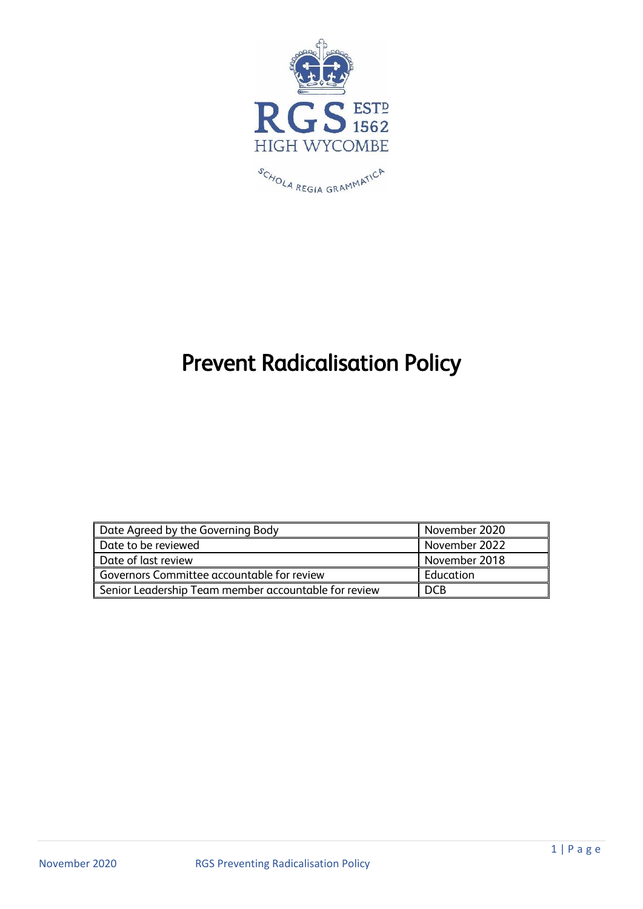

# Prevent Radicalisation Policy

| Date Agreed by the Governing Body                    | November 2020 |
|------------------------------------------------------|---------------|
| Date to be reviewed                                  | November 2022 |
| Date of last review                                  | November 2018 |
| Governors Committee accountable for review           | Education     |
| Senior Leadership Team member accountable for review | <b>DCB</b>    |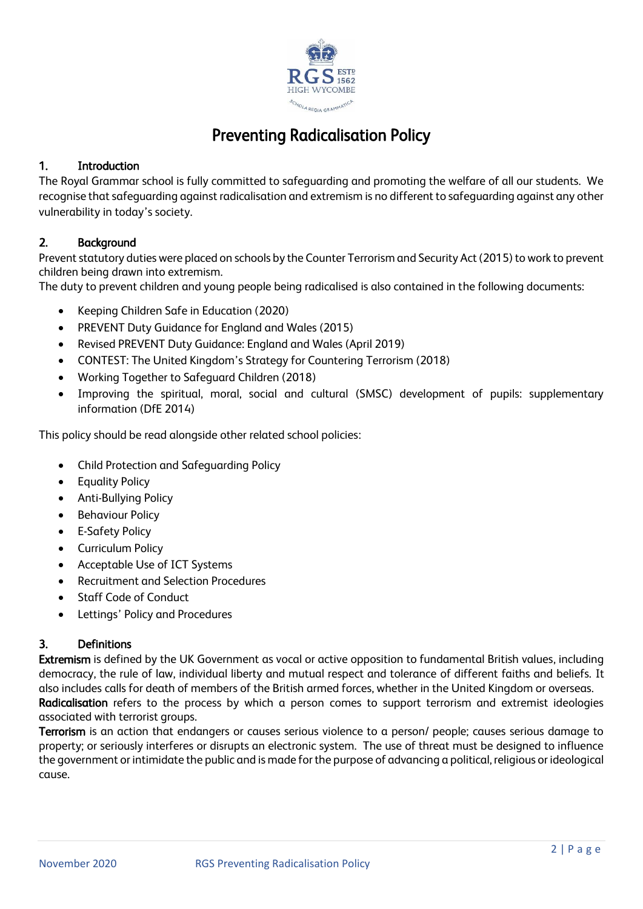

# Preventing Radicalisation Policy

# 1. Introduction

The Royal Grammar school is fully committed to safeguarding and promoting the welfare of all our students. We recognise that safeguarding against radicalisation and extremism is no different to safeguarding against any other vulnerability in today's society.

# 2. Background

Prevent statutory duties were placed on schools by the Counter Terrorism and Security Act (2015) to work to prevent children being drawn into extremism.

The duty to prevent children and young people being radicalised is also contained in the following documents:

- Keeping Children Safe in Education (2020)
- PREVENT Duty Guidance for England and Wales (2015)
- Revised PREVENT Duty Guidance: England and Wales (April 2019)
- CONTEST: The United Kingdom's Strategy for Countering Terrorism (2018)
- Working Together to Safeguard Children (2018)
- Improving the spiritual, moral, social and cultural (SMSC) development of pupils: supplementary information (DfE 2014)

This policy should be read alongside other related school policies:

- Child Protection and Safeguarding Policy
- Equality Policy
- Anti-Bullying Policy
- **•** Behaviour Policy
- E-Safety Policy
- Curriculum Policy
- Acceptable Use of ICT Systems
- Recruitment and Selection Procedures
- Staff Code of Conduct
- Lettings' Policy and Procedures

# 3. Definitions

Extremism is defined by the UK Government as vocal or active opposition to fundamental British values, including democracy, the rule of law, individual liberty and mutual respect and tolerance of different faiths and beliefs. It also includes calls for death of members of the British armed forces, whether in the United Kingdom or overseas. Radicalisation refers to the process by which a person comes to support terrorism and extremist ideologies associated with terrorist groups.

Terrorism is an action that endangers or causes serious violence to a person/ people; causes serious damage to property; or seriously interferes or disrupts an electronic system. The use of threat must be designed to influence the government or intimidate the public and is made for the purpose of advancing a political, religious or ideological cause.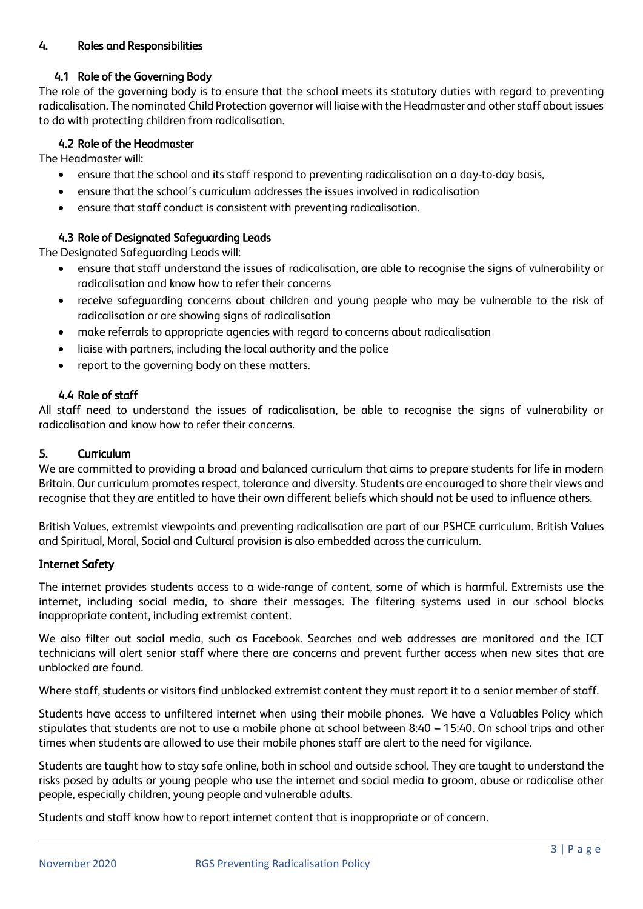# 4. Roles and Responsibilities

# 4.1 Role of the Governing Body

The role of the governing body is to ensure that the school meets its statutory duties with regard to preventing radicalisation. The nominated Child Protection governor will liaise with the Headmaster and other staff about issues to do with protecting children from radicalisation.

# 4.2 Role of the Headmaster

The Headmaster will:

- ensure that the school and its staff respond to preventing radicalisation on a day-to-day basis,
- ensure that the school's curriculum addresses the issues involved in radicalisation
- ensure that staff conduct is consistent with preventing radicalisation.

# 4.3 Role of Designated Safeguarding Leads

The Designated Safeguarding Leads will:

- ensure that staff understand the issues of radicalisation, are able to recognise the signs of vulnerability or radicalisation and know how to refer their concerns
- receive safeguarding concerns about children and young people who may be vulnerable to the risk of radicalisation or are showing signs of radicalisation
- make referrals to appropriate agencies with regard to concerns about radicalisation
- liaise with partners, including the local authority and the police
- report to the governing body on these matters.

# 4.4 Role of staff

All staff need to understand the issues of radicalisation, be able to recognise the signs of vulnerability or radicalisation and know how to refer their concerns.

#### 5. Curriculum

We are committed to providing a broad and balanced curriculum that aims to prepare students for life in modern Britain. Our curriculum promotes respect, tolerance and diversity. Students are encouraged to share their views and recognise that they are entitled to have their own different beliefs which should not be used to influence others.

British Values, extremist viewpoints and preventing radicalisation are part of our PSHCE curriculum. British Values and Spiritual, Moral, Social and Cultural provision is also embedded across the curriculum.

# Internet Safety

The internet provides students access to a wide-range of content, some of which is harmful. Extremists use the internet, including social media, to share their messages. The filtering systems used in our school blocks inappropriate content, including extremist content.

We also filter out social media, such as Facebook. Searches and web addresses are monitored and the ICT technicians will alert senior staff where there are concerns and prevent further access when new sites that are unblocked are found.

Where staff, students or visitors find unblocked extremist content they must report it to a senior member of staff.

Students have access to unfiltered internet when using their mobile phones. We have a Valuables Policy which stipulates that students are not to use a mobile phone at school between 8:40 – 15:40. On school trips and other times when students are allowed to use their mobile phones staff are alert to the need for vigilance.

Students are taught how to stay safe online, both in school and outside school. They are taught to understand the risks posed by adults or young people who use the internet and social media to groom, abuse or radicalise other people, especially children, young people and vulnerable adults.

Students and staff know how to report internet content that is inappropriate or of concern.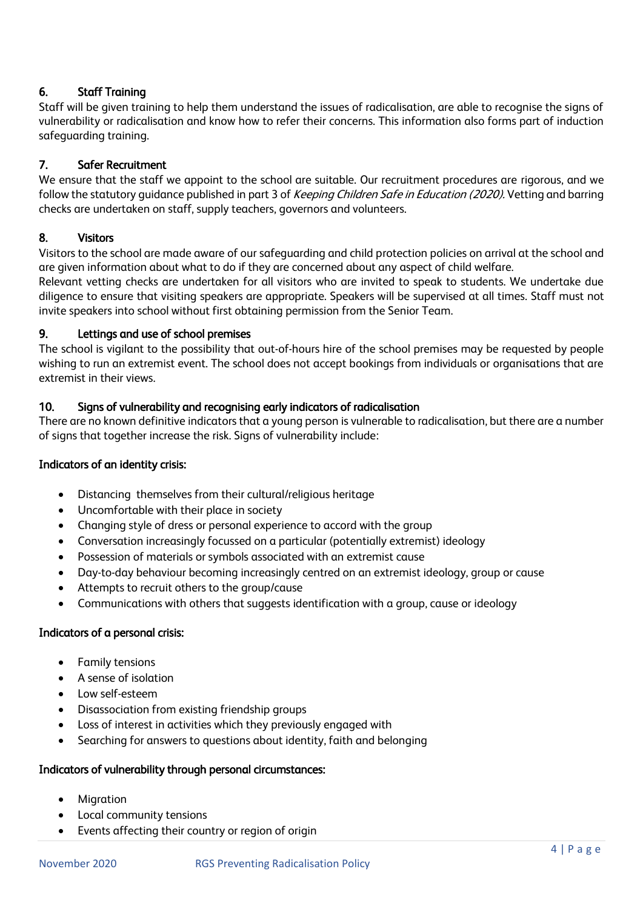# 6. Staff Training

Staff will be given training to help them understand the issues of radicalisation, are able to recognise the signs of vulnerability or radicalisation and know how to refer their concerns. This information also forms part of induction safeguarding training.

# 7. Safer Recruitment

We ensure that the staff we appoint to the school are suitable. Our recruitment procedures are rigorous, and we follow the statutory quidance published in part 3 of Keeping Children Safe in Education (2020). Vetting and barring checks are undertaken on staff, supply teachers, governors and volunteers.

# 8. Visitors

Visitors to the school are made aware of our safeguarding and child protection policies on arrival at the school and are given information about what to do if they are concerned about any aspect of child welfare.

Relevant vetting checks are undertaken for all visitors who are invited to speak to students. We undertake due diligence to ensure that visiting speakers are appropriate. Speakers will be supervised at all times. Staff must not invite speakers into school without first obtaining permission from the Senior Team.

# 9. Lettings and use of school premises

The school is vigilant to the possibility that out-of-hours hire of the school premises may be requested by people wishing to run an extremist event. The school does not accept bookings from individuals or organisations that are extremist in their views.

# 10. Signs of vulnerability and recognising early indicators of radicalisation

There are no known definitive indicators that a young person is vulnerable to radicalisation, but there are a number of signs that together increase the risk. Signs of vulnerability include:

# Indicators of an identity crisis:

- Distancing themselves from their cultural/religious heritage
- Uncomfortable with their place in society
- Changing style of dress or personal experience to accord with the group
- Conversation increasingly focussed on a particular (potentially extremist) ideology
- Possession of materials or symbols associated with an extremist cause
- Day-to-day behaviour becoming increasingly centred on an extremist ideology, group or cause
- Attempts to recruit others to the group/cause
- Communications with others that suggests identification with a group, cause or ideology

# Indicators of a personal crisis:

- Family tensions
- A sense of isolation
- Low self-esteem
- Disassociation from existing friendship groups
- Loss of interest in activities which they previously engaged with
- Searching for answers to questions about identity, faith and belonging

# Indicators of vulnerability through personal circumstances:

- Migration
- Local community tensions
- Events affecting their country or region of origin